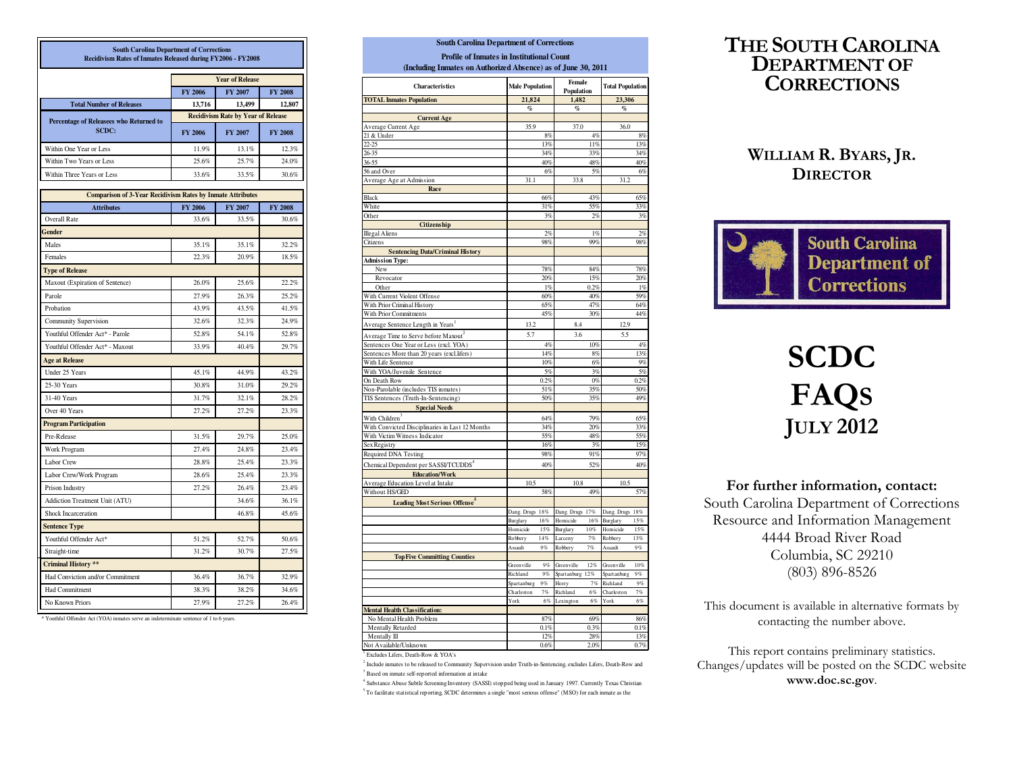| <b>South Carolina Department of Corrections</b><br>Recidivism Rates of Inmates Released during FY2006 - FY2008 |                                           |                        |                |  |  |  |
|----------------------------------------------------------------------------------------------------------------|-------------------------------------------|------------------------|----------------|--|--|--|
|                                                                                                                |                                           | <b>Year of Release</b> |                |  |  |  |
|                                                                                                                | <b>FY 2006</b>                            | FY 2007                | <b>FY 2008</b> |  |  |  |
| <b>Total Number of Releases</b>                                                                                | 13,716                                    | 13,499                 | 12,807         |  |  |  |
| Percentage of Releasees who Returned to                                                                        | <b>Recidivism Rate by Year of Release</b> |                        |                |  |  |  |
| SCDC:                                                                                                          | FY 2006                                   | FY 2007                | <b>FY 2008</b> |  |  |  |
| Within One Year or Less                                                                                        | 11.9%                                     | 13.1%                  | 12.3%          |  |  |  |
| Within Two Years or Less                                                                                       | 25.6%                                     | 25.7%                  | 24.0%          |  |  |  |
| Within Three Years or Less                                                                                     | 33.6%                                     | 33.5%                  | 30.6%          |  |  |  |
| <b>Comparison of 3-Year Recidivism Rates by Inmate Attributes</b>                                              |                                           |                        |                |  |  |  |
| <b>Attributes</b>                                                                                              | FY 2006                                   | FY 2007                | FY 2008        |  |  |  |
| Overall Rate                                                                                                   | 33.6%                                     | 33.5%                  | 30.6%          |  |  |  |
| Gender                                                                                                         |                                           |                        |                |  |  |  |
| Males                                                                                                          | 35.1%                                     | 35.1%                  | 32.2%          |  |  |  |
| Females                                                                                                        | 22.3%                                     | 20.9%                  | 18.5%          |  |  |  |
| <b>Type of Release</b>                                                                                         |                                           |                        |                |  |  |  |
| Maxout (Expiration of Sentence)                                                                                | 26.0%                                     | 25.6%                  | 22.2%          |  |  |  |
| Parole                                                                                                         | 27.9%                                     | 26.3%                  | 25.2%          |  |  |  |
| Probation                                                                                                      | 43.9%                                     | 43.5%                  | 41.5%          |  |  |  |
| Community Supervision                                                                                          | 32.6%                                     | 32.3%                  | 24.9%          |  |  |  |
| Youthful Offender Act* - Parole                                                                                | 52.8%                                     | 54.1%                  | 52.8%          |  |  |  |
| Youthful Offender Act* - Maxout                                                                                | 33.9%                                     | 40.4%                  | 29.7%          |  |  |  |
| <b>Age at Release</b>                                                                                          |                                           |                        |                |  |  |  |
| Under 25 Years                                                                                                 | 45.1%                                     | 44.9%                  | 43.2%          |  |  |  |
| 25-30 Years                                                                                                    | 30.8%                                     | 31.0%                  | 29.2%          |  |  |  |
| 31-40 Years                                                                                                    | 31.7%                                     | 32.1%                  | 28.2%          |  |  |  |
| Over 40 Years                                                                                                  | 27.2%                                     | 27.2%                  | 23.3%          |  |  |  |
| <b>Program Participation</b>                                                                                   |                                           |                        |                |  |  |  |
| Pre-Release                                                                                                    | 31.5%                                     | 29.7%                  | 25.0%          |  |  |  |
| Work Program                                                                                                   | 27.4%                                     | 24.8%                  | 23.4%          |  |  |  |
| Labor Crew                                                                                                     | 28.8%                                     | 25.4%                  | 23.3%          |  |  |  |
| Labor Crew/Work Program                                                                                        | 28.6%                                     | 25.4%                  | 23.3%          |  |  |  |
| Prison Industry                                                                                                | 27.2%                                     | 26.4%                  | 23.4%          |  |  |  |
| Addiction Treatment Unit (ATU)                                                                                 |                                           | 34.6%                  | 36.1%          |  |  |  |
| <b>Shock Incarceration</b>                                                                                     |                                           | 46.8%                  | 45.6%          |  |  |  |
| <b>Sentence Type</b>                                                                                           |                                           |                        |                |  |  |  |
| Youthful Offender Act*                                                                                         | 51.2%                                     | 52.7%                  | 50.6%          |  |  |  |
| Straight-time                                                                                                  | 31.2%                                     | 30.7%                  | 27.5%          |  |  |  |
| <b>Criminal History **</b>                                                                                     |                                           |                        |                |  |  |  |
| Had Conviction and/or Commitment                                                                               | 36.4%                                     | 36.7%                  | 32.9%          |  |  |  |
| Had Commitment                                                                                                 | 38.3%                                     | 38.2%                  | 34.6%          |  |  |  |
| No Known Priors                                                                                                | 27.9%                                     | 27.2%                  | 26.4%          |  |  |  |

\* Youthful Offender Act (YOA) inmates serve an indeterminate sentence of 1 to 6 years.

| <b>Characteristics</b>                                                               | <b>Male Population</b>            |            | Female<br>Population |             | <b>Total Population</b> |            |
|--------------------------------------------------------------------------------------|-----------------------------------|------------|----------------------|-------------|-------------------------|------------|
| <b>TOTAL Inmates Population</b>                                                      | 21,824                            |            | 1,482                |             | 23.306                  |            |
|                                                                                      | $\%$                              |            | $\%$                 |             | q,                      |            |
| <b>Current Age</b>                                                                   |                                   |            |                      |             |                         |            |
| Average Current Age                                                                  | 35.9                              |            | 37.0                 |             | 36.0                    |            |
| 21 & Under                                                                           |                                   | 8%         |                      | 4%          |                         | 8%         |
| $22 - 25$                                                                            |                                   | 13%        |                      | 11%         |                         | 13%        |
| $26 - 35$                                                                            |                                   | 34%<br>40% |                      | 33%<br>48%  |                         | 34%<br>40% |
| 36-55<br>56 and Over                                                                 |                                   | 6%         |                      | 5%          |                         | 6%         |
| Average Age at Admission                                                             | 31.1                              |            | 33.8                 |             | 31.2                    |            |
| Race                                                                                 |                                   |            |                      |             |                         |            |
| Black                                                                                |                                   | 66%        |                      | 43%         |                         | 65%        |
| White                                                                                |                                   | 31%        |                      | 55%         |                         | 33%        |
| Other                                                                                |                                   | 3%         |                      | 2%          |                         | 3%         |
| Citizenship                                                                          |                                   |            |                      |             |                         |            |
| <b>Illegal Aliens</b>                                                                |                                   | 2%         |                      | 1%          |                         | 2%         |
| Citizens                                                                             |                                   | 98%        |                      | 99%         |                         | 98%        |
| <b>Sentencing Data/Criminal History</b>                                              |                                   |            |                      |             |                         |            |
| <b>Admission Type:</b>                                                               |                                   |            |                      |             |                         |            |
| New                                                                                  |                                   | 78%        |                      | 84%         |                         | 78%        |
| Revocator<br>Other                                                                   |                                   | 20%<br>1%  |                      | 15%<br>0.2% |                         | 20%        |
| With Current Violent Offense                                                         |                                   | 60%        |                      | 40%         |                         | 1%<br>59%  |
| With Prior Criminal History                                                          |                                   | 65%        |                      | 47%         |                         | 64%        |
| With Prior Commitments                                                               |                                   | 45%        |                      | 30%         |                         | 44%        |
| Average Sentence Length in Years <sup>1</sup>                                        | 13.2                              |            | 8.4                  |             | 12.9                    |            |
|                                                                                      | 5.7                               |            | 3.6                  |             | 5.5                     |            |
| Average Time to Serve before Maxout <sup>2</sup>                                     |                                   | 4%         |                      | 10%         |                         | 4%         |
| Sentences One Year or Less (excl. YOA)<br>Sentences More than 20 years (excl.lifers) |                                   | 14%        |                      | 8%          |                         | 13%        |
| With Life Sentence                                                                   |                                   | 10%        |                      | $6\%$       |                         | 9%         |
| With YOA/Juvenile Sentence                                                           |                                   | 5%         |                      | 3%          |                         | 5%         |
| On Death Row                                                                         |                                   | 0.2%       |                      | 0%          |                         | 0.2%       |
| Non-Parolable (includes TIS inmates)                                                 |                                   | 51%        |                      | 35%         |                         | 50%        |
| TIS Sentences (Truth-In-Sentencing)                                                  |                                   | 50%        |                      | 35%         |                         | 49%        |
| <b>Special Needs</b>                                                                 |                                   |            |                      |             |                         |            |
| With Children                                                                        |                                   | 64%        |                      | 79%         |                         | 65%        |
| With Convicted Disciplinaries in Last 12 Months                                      |                                   | 34%        |                      | 20%         |                         | 33%        |
| With Victim Witness Indicator                                                        |                                   | 55%        |                      | 48%         |                         | 55%        |
| Sex Registry                                                                         |                                   | 16%        |                      | 3%          |                         | 15%        |
| Required DNA Testing                                                                 |                                   | 98%        |                      | 91%         |                         | 97%        |
| Chemical Dependent per SASSI/TCUDDS <sup>4</sup>                                     |                                   | 40%        |                      | 52%         |                         | 40%        |
| <b>Education/Work</b>                                                                |                                   |            |                      |             |                         |            |
| Average Education Level at Intake                                                    | 10.5                              |            | 10.8                 |             | 10.5                    |            |
| Without HS/GED                                                                       |                                   | 58%        |                      | 49%         |                         | 57%        |
| <b>Leading Most Serious Offense</b> <sup>5</sup>                                     |                                   |            |                      |             |                         |            |
|                                                                                      | Dang. Drugs<br>$18\,\%$           |            | Dang. Drugs          | 17%         | Dang. Drugs             | 18%        |
|                                                                                      | 16%<br>Burglary                   |            | Homicide             | $16\,\%$    | Burglary                | 15%        |
|                                                                                      | 15%<br>Homicide<br>Robbery<br>14% |            | Burglary<br>Larceny  | 10%<br>7%   | Homicide<br>Robbery     | 15%<br>13% |
|                                                                                      | 9%<br>Assault                     |            | Robbery              | 7%          | Assault                 | 9%         |
| <b>Top Five Committing Counties</b>                                                  |                                   |            |                      |             |                         |            |
|                                                                                      | Greenville                        | 9%         | Greenville           | 12%         | Greenville              | 10%        |
|                                                                                      | Richland                          | 9%         | Spartanburg 12%      |             | Spartanburg             | $Q\ll$     |
|                                                                                      | Spartanburg<br>9%                 |            | Horry                | 7%          | Richland                | 9%         |
|                                                                                      | Charleston<br>7%                  |            | Richland             | 6%          | Charleston              | 7%         |
|                                                                                      | York                              | $6\%$      | Lexington            | $6\%$       | York                    | $6\%$      |
| <b>Mental Health Classification:</b>                                                 |                                   |            |                      |             |                         |            |
| No Mental Health Problem                                                             |                                   | 87%        |                      | 69%         |                         | 86%        |
| Mentally Retarded                                                                    |                                   | 0.1%       |                      | 0.3%        |                         | 0.1%       |
| Mentally Ill                                                                         |                                   | 12%        |                      | 28%         |                         | 13%        |
| Not Available/Unknown                                                                |                                   | 0.6%       |                      | 2.0%        |                         | 0.7%       |

**South Carolina Department of Corrections**

 $2$  Include inmates to be released to Community Supervision under Truth-in-Sentencing, excludes Lifers, Death-Row and <sup>3</sup> Based on inmate self-reported information at intake

<sup>5</sup>To facilitate statistical reporting, SCDC determines a single "most serious offense" (MSO) for each inmate as the <sup>4</sup> Substance Abuse Subtle Screening Inventory (SASSI) stopped being used in January 1997. Currently Texas Christian

## THE SOUTH CAROLINA DEPARTMENT OF **CORRECTIONS**

### WILLIAM R.BYARS, JR. **DIRECTOR**



# **SCDC**  FAQSJULY 2012

For further information, contact: South Carolina Department of Corrections Resource and Information Management 4444 Broad River Road Columbia, SC 29210 (803) 896-8526

This document is available in alternative formats by contacting the number above.

This report contains preliminary statistics. Changes/updates will be posted on the SCDC website www.doc.sc.gov.